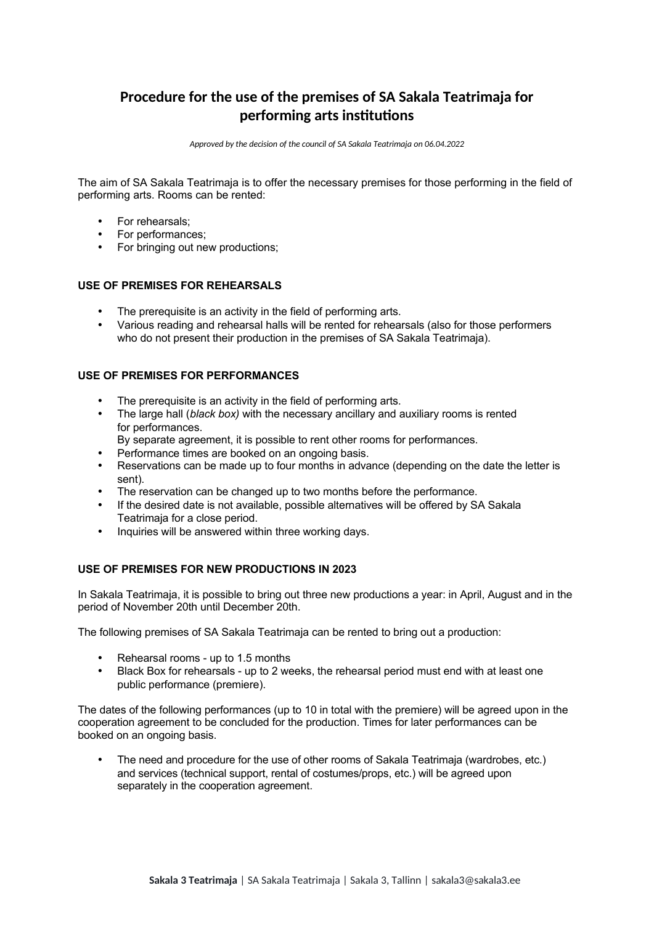# **Procedure for the use of the premises of SA Sakala Teatrimaja for performing arts institutions**

*Approved by the decision of the council of SA Sakala Teatrimaja on 06.04.2022*

The aim of SA Sakala Teatrimaia is to offer the necessary premises for those performing in the field of performing arts. Rooms can be rented:

- For rehearsals:
- For performances;
- For bringing out new productions;

# **USE OF PREMISES FOR REHEARSALS**

- The prerequisite is an activity in the field of performing arts.
- Various reading and rehearsal halls will be rented for rehearsals (also for those performers who do not present their production in the premises of SA Sakala Teatrimaja).

### **USE OF PREMISES FOR PERFORMANCES**

- The prerequisite is an activity in the field of performing arts.
- The large hall (*black box)* with the necessary ancillary and auxiliary rooms is rented for performances.
- By separate agreement, it is possible to rent other rooms for performances.
- Performance times are booked on an ongoing basis.
- Reservations can be made up to four months in advance (depending on the date the letter is sent).
- The reservation can be changed up to two months before the performance.
- If the desired date is not available, possible alternatives will be offered by SA Sakala Teatrimaja for a close period.
- Inquiries will be answered within three working days.

# **USE OF PREMISES FOR NEW PRODUCTIONS IN 2023**

In Sakala Teatrimaja, it is possible to bring out three new productions a year: in April, August and in the period of November 20th until December 20th.

The following premises of SA Sakala Teatrimaja can be rented to bring out a production:

- Rehearsal rooms up to 1.5 months
- Black Box for rehearsals up to 2 weeks, the rehearsal period must end with at least one public performance (premiere).

The dates of the following performances (up to 10 in total with the premiere) will be agreed upon in the cooperation agreement to be concluded for the production. Times for later performances can be booked on an ongoing basis.

 The need and procedure for the use of other rooms of Sakala Teatrimaja (wardrobes, etc.) and services (technical support, rental of costumes/props, etc.) will be agreed upon separately in the cooperation agreement.